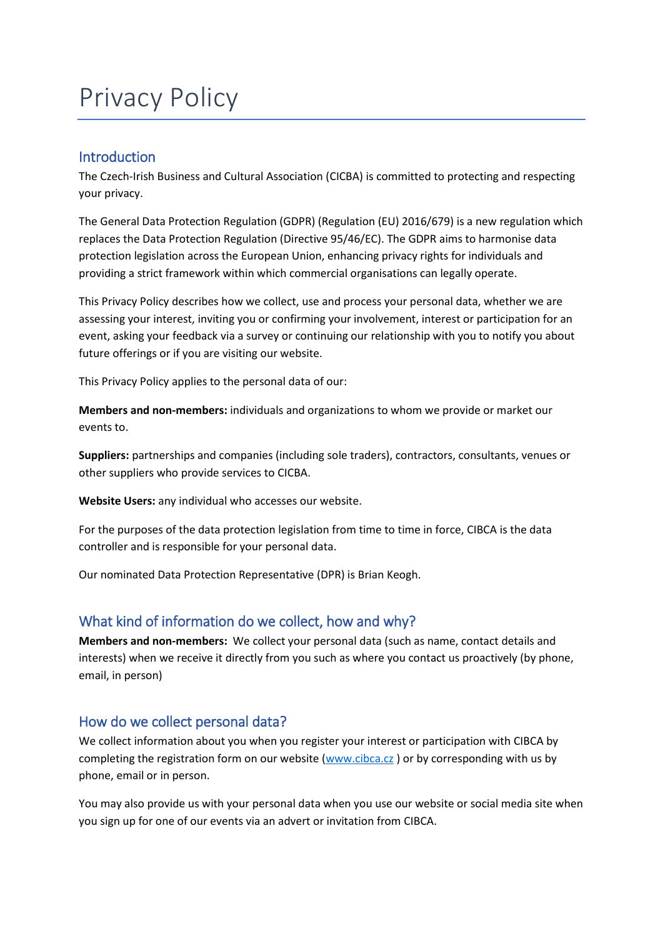# Privacy Policy

## Introduction

The Czech-Irish Business and Cultural Association (CICBA) is committed to protecting and respecting your privacy.

The General Data Protection Regulation (GDPR) (Regulation (EU) 2016/679) is a new regulation which replaces the Data Protection Regulation (Directive 95/46/EC). The GDPR aims to harmonise data protection legislation across the European Union, enhancing privacy rights for individuals and providing a strict framework within which commercial organisations can legally operate.

This Privacy Policy describes how we collect, use and process your personal data, whether we are assessing your interest, inviting you or confirming your involvement, interest or participation for an event, asking your feedback via a survey or continuing our relationship with you to notify you about future offerings or if you are visiting our website.

This Privacy Policy applies to the personal data of our:

**Members and non-members:** individuals and organizations to whom we provide or market our events to.

**Suppliers:** partnerships and companies (including sole traders), contractors, consultants, venues or other suppliers who provide services to CICBA.

**Website Users:** any individual who accesses our website.

For the purposes of the data protection legislation from time to time in force, CIBCA is the data controller and is responsible for your personal data.

Our nominated Data Protection Representative (DPR) is Brian Keogh.

## What kind of information do we collect, how and why?

**Members and non-members:** We collect your personal data (such as name, contact details and interests) when we receive it directly from you such as where you contact us proactively (by phone, email, in person)

## How do we collect personal data?

We collect information about you when you register your interest or participation with CIBCA by completing the registration form on our website [\(www.cibca.cz](http://www.cibca.cz/)) or by corresponding with us by phone, email or in person.

You may also provide us with your personal data when you use our website or social media site when you sign up for one of our events via an advert or invitation from CIBCA.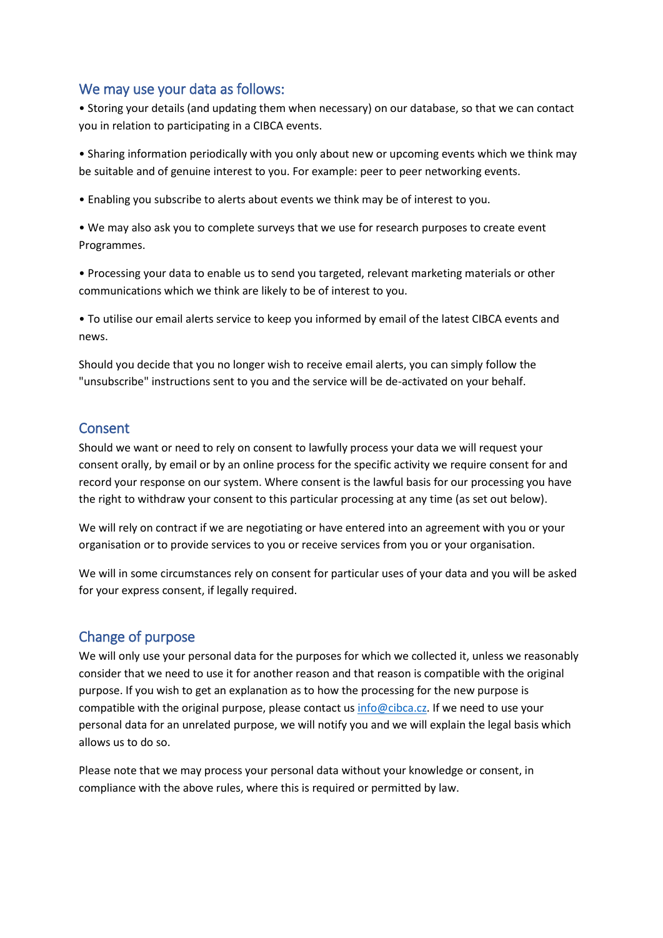## We may use your data as follows:

• Storing your details (and updating them when necessary) on our database, so that we can contact you in relation to participating in a CIBCA events.

• Sharing information periodically with you only about new or upcoming events which we think may be suitable and of genuine interest to you. For example: peer to peer networking events.

• Enabling you subscribe to alerts about events we think may be of interest to you.

• We may also ask you to complete surveys that we use for research purposes to create event Programmes.

• Processing your data to enable us to send you targeted, relevant marketing materials or other communications which we think are likely to be of interest to you.

• To utilise our email alerts service to keep you informed by email of the latest CIBCA events and news.

Should you decide that you no longer wish to receive email alerts, you can simply follow the "unsubscribe" instructions sent to you and the service will be de-activated on your behalf.

#### Consent

Should we want or need to rely on consent to lawfully process your data we will request your consent orally, by email or by an online process for the specific activity we require consent for and record your response on our system. Where consent is the lawful basis for our processing you have the right to withdraw your consent to this particular processing at any time (as set out below).

We will rely on contract if we are negotiating or have entered into an agreement with you or your organisation or to provide services to you or receive services from you or your organisation.

We will in some circumstances rely on consent for particular uses of your data and you will be asked for your express consent, if legally required.

### Change of purpose

We will only use your personal data for the purposes for which we collected it, unless we reasonably consider that we need to use it for another reason and that reason is compatible with the original purpose. If you wish to get an explanation as to how the processing for the new purpose is compatible with the original purpose, please contact us [info@cibca.cz.](mailto:info@cibca.cz) If we need to use your personal data for an unrelated purpose, we will notify you and we will explain the legal basis which allows us to do so.

Please note that we may process your personal data without your knowledge or consent, in compliance with the above rules, where this is required or permitted by law.